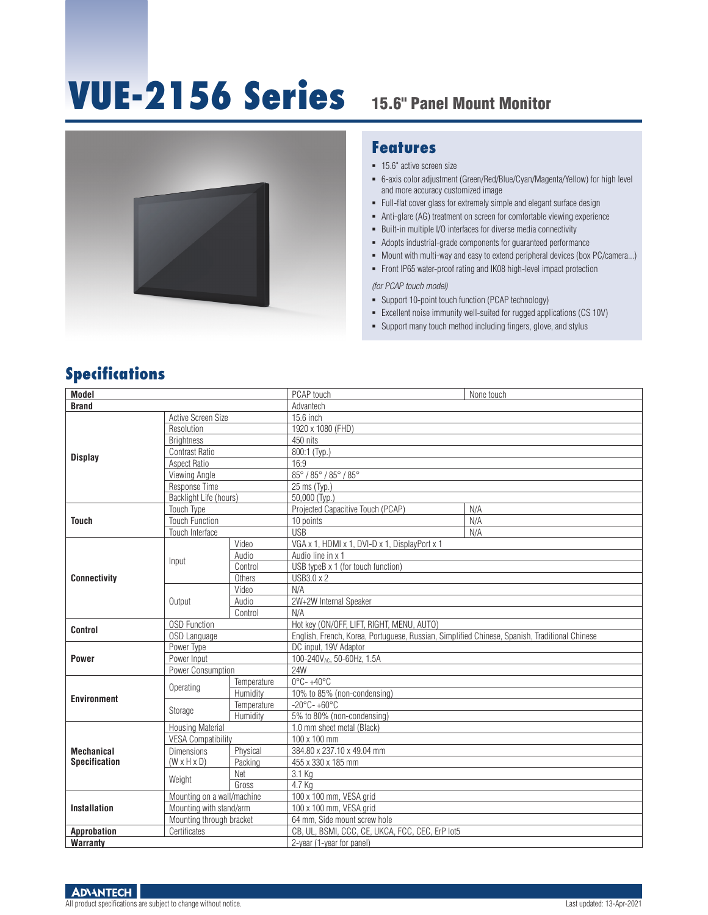# **VUE-2156 Series** 15.6" Panel Mount Monitor



#### **Features**

- **15.6"** active screen size
- 6-axis color adjustment (Green/Red/Blue/Cyan/Magenta/Yellow) for high level and more accuracy customized image
- Full-flat cover glass for extremely simple and elegant surface design
- Anti-glare (AG) treatment on screen for comfortable viewing experience
- **Built-in multiple I/O interfaces for diverse media connectivity**
- Adopts industrial-grade components for guaranteed performance
- Mount with multi-way and easy to extend peripheral devices (box PC/camera...)
- Front IP65 water-proof rating and IK08 high-level impact protection

*(for PCAP touch model)* 

- Support 10-point touch function (PCAP technology)
- Excellent noise immunity well-suited for rugged applications (CS 10V)
- Support many touch method including fingers, glove, and stylus

### **Specifications**

| <b>Model</b>                              |                                              |                                                 | PCAP touch                                                                                    | None touch |
|-------------------------------------------|----------------------------------------------|-------------------------------------------------|-----------------------------------------------------------------------------------------------|------------|
| <b>Brand</b>                              |                                              |                                                 | Advantech                                                                                     |            |
|                                           | Active Screen Size                           |                                                 | 15.6 inch                                                                                     |            |
|                                           | Resolution                                   |                                                 | 1920 x 1080 (FHD)                                                                             |            |
|                                           | <b>Brightness</b>                            |                                                 | 450 nits                                                                                      |            |
|                                           | <b>Contrast Ratio</b>                        |                                                 | 800:1 (Typ.)                                                                                  |            |
| <b>Display</b>                            | Aspect Ratio                                 |                                                 | 16:9                                                                                          |            |
|                                           | Viewing Angle                                |                                                 | 85° / 85° / 85° / 85°                                                                         |            |
|                                           | Response Time                                |                                                 | 25 ms (Typ.)                                                                                  |            |
|                                           | Backlight Life (hours)                       |                                                 | $50,000$ (Typ.)                                                                               |            |
| <b>Touch</b>                              | <b>Touch Type</b>                            |                                                 | Projected Capacitive Touch (PCAP)                                                             | N/A        |
|                                           | <b>Touch Function</b>                        |                                                 | 10 points                                                                                     | N/A        |
|                                           | Touch Interface                              |                                                 | <b>USB</b>                                                                                    | N/A        |
|                                           | Input                                        | Video                                           | VGA x 1, HDMI x 1, DVI-D x 1, DisplayPort x 1                                                 |            |
|                                           |                                              | Audio                                           | Audio line in x 1                                                                             |            |
|                                           |                                              | Control                                         | USB typeB x 1 (for touch function)                                                            |            |
| <b>Connectivity</b>                       |                                              | Others                                          | USB3.0 x 2                                                                                    |            |
|                                           | Output                                       | Video                                           | N/A                                                                                           |            |
|                                           |                                              | Audio                                           | 2W+2W Internal Speaker                                                                        |            |
|                                           |                                              | Control                                         | N/A                                                                                           |            |
|                                           | <b>OSD Function</b>                          |                                                 | Hot key (ON/OFF, LIFT, RIGHT, MENU, AUTO)                                                     |            |
| <b>Control</b>                            | OSD Language                                 |                                                 | English, French, Korea, Portuguese, Russian, Simplified Chinese, Spanish, Traditional Chinese |            |
|                                           | Power Type                                   |                                                 | DC input, 19V Adaptor                                                                         |            |
| <b>Power</b>                              | Power Input                                  |                                                 | 100-240VAC, 50-60Hz, 1.5A                                                                     |            |
|                                           | Power Consumption                            |                                                 | 24W                                                                                           |            |
|                                           | Operating                                    | Temperature                                     | $0^{\circ}$ C-+40 $^{\circ}$ C                                                                |            |
|                                           |                                              | Humidity                                        | 10% to 85% (non-condensing)                                                                   |            |
| <b>Environment</b>                        | Storage                                      | Temperature                                     | $-20^{\circ}$ C- $+60^{\circ}$ C                                                              |            |
|                                           |                                              | Humidity                                        | 5% to 80% (non-condensing)                                                                    |            |
| <b>Mechanical</b><br><b>Specification</b> | <b>Housing Material</b>                      |                                                 | 1.0 mm sheet metal (Black)                                                                    |            |
|                                           | <b>VESA Compatibility</b>                    |                                                 | 100 x 100 mm                                                                                  |            |
|                                           | <b>Dimensions</b><br>$(W \times H \times D)$ | Physical                                        | 384.80 x 237.10 x 49.04 mm                                                                    |            |
|                                           |                                              | Packing                                         | 455 x 330 x 185 mm                                                                            |            |
|                                           | Weight                                       | Net                                             | 3.1 Kg                                                                                        |            |
|                                           |                                              | Gross                                           | 4.7 Kg                                                                                        |            |
| <b>Installation</b>                       | Mounting on a wall/machine                   |                                                 | 100 x 100 mm, VESA grid                                                                       |            |
|                                           | Mounting with stand/arm                      |                                                 | 100 x 100 mm, VESA grid                                                                       |            |
|                                           | Mounting through bracket                     |                                                 | 64 mm. Side mount screw hole                                                                  |            |
| Approbation<br>Certificates               |                                              | CB. UL. BSMI, CCC, CE, UKCA, FCC, CEC, ErP lot5 |                                                                                               |            |
| <b>Warranty</b>                           |                                              |                                                 | 2-year (1-year for panel)                                                                     |            |